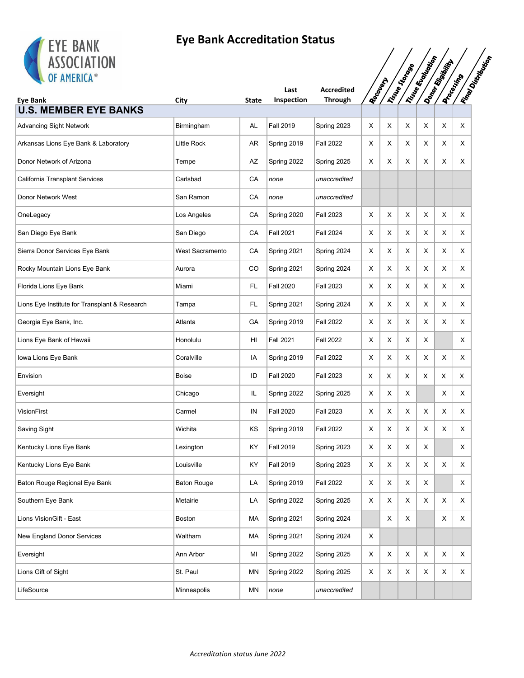

| <b>EIE DANN</b><br><b>ASSOCIATION</b>         |                    |              |                    |                                     |                |             |                |                   |                                      |                           |
|-----------------------------------------------|--------------------|--------------|--------------------|-------------------------------------|----------------|-------------|----------------|-------------------|--------------------------------------|---------------------------|
| OF AMERICA®<br><b>Eye Bank</b>                | City               | <b>State</b> | Last<br>Inspection | <b>Accredited</b><br><b>Through</b> | <b>Recover</b> |             | Instruction of | I True Ecological | Donor Rigorium<br><b>Docentrical</b> | <b>Ringdom City Man</b>   |
| <b>U.S. MEMBER EYE BANKS</b>                  |                    |              |                    |                                     |                |             |                |                   |                                      |                           |
| <b>Advancing Sight Network</b>                | Birmingham         | AL           | <b>Fall 2019</b>   | Spring 2023                         | X              | X           | Χ              | X                 | X                                    | Χ                         |
| Arkansas Lions Eye Bank & Laboratory          | Little Rock        | AR           | Spring 2019        | <b>Fall 2022</b>                    | X              | Х           | X              | Х                 | X                                    | X                         |
| Donor Network of Arizona                      | Tempe              | AZ           | Spring 2022        | Spring 2025                         | X              | X           | X              | X                 | X                                    | X                         |
| California Transplant Services                | Carlsbad           | CA           | none               | unaccredited                        |                |             |                |                   |                                      |                           |
| Donor Network West                            | San Ramon          | CA           | none               | unaccredited                        |                |             |                |                   |                                      |                           |
| OneLegacy                                     | Los Angeles        | CA           | Spring 2020        | <b>Fall 2023</b>                    | X              | X           | X              | X                 | X                                    | X                         |
| San Diego Eye Bank                            | San Diego          | CA           | <b>Fall 2021</b>   | <b>Fall 2024</b>                    | X              | х           | X              | X                 | X                                    | Χ                         |
| Sierra Donor Services Eye Bank                | West Sacramento    | CA           | Spring 2021        | Spring 2024                         | X              | X           | X              | X                 | X                                    | X                         |
| Rocky Mountain Lions Eye Bank                 | Aurora             | CO           | Spring 2021        | Spring 2024                         | X              | Х           | X              | X                 | X                                    | X                         |
| Florida Lions Eye Bank                        | Miami              | FL           | <b>Fall 2020</b>   | <b>Fall 2023</b>                    | Х              | X           | X              | Χ                 | X                                    | X                         |
| Lions Eye Institute for Transplant & Research | Tampa              | FL.          | Spring 2021        | Spring 2024                         | Х              | х           | X              | Х                 | X                                    | X                         |
| Georgia Eye Bank, Inc.                        | Atlanta            | GA           | Spring 2019        | <b>Fall 2022</b>                    | Х              | X           | X              | Χ                 | X                                    | X                         |
| Lions Eye Bank of Hawaii                      | Honolulu           | HI           | <b>Fall 2021</b>   | <b>Fall 2022</b>                    | X              | Х           | X              | X                 |                                      | Χ                         |
| Iowa Lions Eye Bank                           | Coralville         | IA           | Spring 2019        | <b>Fall 2022</b>                    | Х              | X           | X              | X                 | X                                    | Χ                         |
| Envision                                      | Boise              | ID           | <b>Fall 2020</b>   | <b>Fall 2023</b>                    | х              | Х           | Χ              | X                 | Х                                    | X                         |
| Eversight                                     | Chicago            | IL.          | Spring 2022        | Spring 2025                         | X              | X           | X              |                   | X                                    | Χ                         |
| VisionFirst                                   | Carmel             | IN           | <b>Fall 2020</b>   | <b>Fall 2023</b>                    | X              | Х           | X              | X                 | X                                    | X                         |
| Saving Sight                                  | Wichita            | ΚS           | Spring 2019        | <b>Fall 2022</b>                    | Χ              | X           | X              | Χ                 | Χ                                    | X                         |
| Kentucky Lions Eye Bank                       | Lexington          | ΚY           | <b>Fall 2019</b>   | Spring 2023                         | X              | $\mathsf X$ | X              | X                 |                                      | X                         |
| Kentucky Lions Eye Bank                       | Louisville         | KY           | <b>Fall 2019</b>   | Spring 2023                         | X              | X           | X              | $\mathsf X$       | X                                    | X                         |
| Baton Rouge Regional Eye Bank                 | <b>Baton Rouge</b> | LA           | Spring 2019        | <b>Fall 2022</b>                    | X              | $\mathsf X$ | X              | X                 |                                      | X                         |
| Southern Eye Bank                             | Metairie           | LA           | Spring 2022        | Spring 2025                         | X              | X           | X              | X                 | X                                    | X                         |
| Lions VisionGift - East                       | Boston             | MA           | Spring 2021        | Spring 2024                         |                | X           | X              |                   | X                                    | $\boldsymbol{\mathsf{X}}$ |
| New England Donor Services                    | Waltham            | МA           | Spring 2021        | Spring 2024                         | X              |             |                |                   |                                      |                           |
| Eversight                                     | Ann Arbor          | MI           | Spring 2022        | Spring 2025                         | Х              | X           | X              | X                 | X                                    | X                         |
| Lions Gift of Sight                           | St. Paul           | MN           | Spring 2022        | Spring 2025                         | X              | X           | X              | X                 | X                                    | X                         |
| LifeSource                                    | Minneapolis        | MN           | none               | unaccredited                        |                |             |                |                   |                                      |                           |
|                                               |                    |              |                    |                                     |                |             |                |                   |                                      |                           |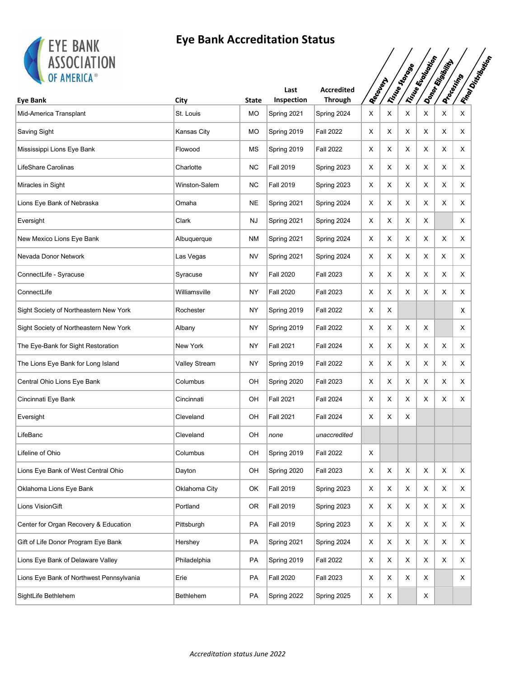

| <b>EIE DANN</b><br><b>ASSOCIATION</b>    |               |              |                    |                                     |          |   |              |                        |                |                                          |
|------------------------------------------|---------------|--------------|--------------------|-------------------------------------|----------|---|--------------|------------------------|----------------|------------------------------------------|
| OF AMERICA®<br><b>Eve Bank</b>           | City          | <b>State</b> | Last<br>Inspection | <b>Accredited</b><br><b>Through</b> | Recounts |   | Tisue States | Tring England Original | Donor Rigorium | IFinos Distribution<br><b>Processing</b> |
| Mid-America Transplant                   | St. Louis     | MO           | Spring 2021        | Spring 2024                         | X        | X | Х            | X                      | X              | X                                        |
| <b>Saving Sight</b>                      | Kansas City   | <b>MO</b>    | Spring 2019        | <b>Fall 2022</b>                    | X        | X | X            | X                      | X              | X                                        |
| Mississippi Lions Eye Bank               | Flowood       | ΜS           | Spring 2019        | <b>Fall 2022</b>                    | X        | X | X            | X                      | X              | X                                        |
| LifeShare Carolinas                      | Charlotte     | <b>NC</b>    | <b>Fall 2019</b>   | Spring 2023                         | X        | X | Χ            | X                      | X              | X                                        |
| Miracles in Sight                        | Winston-Salem | <b>NC</b>    | <b>Fall 2019</b>   | Spring 2023                         | Х        | X | X            | X                      | X              | X                                        |
| Lions Eye Bank of Nebraska               | Omaha         | <b>NE</b>    | Spring 2021        | Spring 2024                         | Х        | X | X            | X                      | X              | X                                        |
| Eversight                                | Clark         | NJ           | Spring 2021        | Spring 2024                         | Χ        | X | X            | X                      |                | Χ                                        |
| New Mexico Lions Eye Bank                | Albuquerque   | ΝM           | Spring 2021        | Spring 2024                         | X        | X | Χ            | X                      | X              | X                                        |
| Nevada Donor Network                     | Las Vegas     | <b>NV</b>    | Spring 2021        | Spring 2024                         | Х        | X | X            | X                      | X              | X                                        |
| ConnectLife - Syracuse                   | Syracuse      | <b>NY</b>    | <b>Fall 2020</b>   | <b>Fall 2023</b>                    | X        | X | X            | X                      | X              | X                                        |
| ConnectLife                              | Williamsville | NY           | <b>Fall 2020</b>   | <b>Fall 2023</b>                    | X        | X | Χ            | X                      | X              | X                                        |
| Sight Society of Northeastern New York   | Rochester     | NY           | Spring 2019        | <b>Fall 2022</b>                    | X        | X |              |                        |                | x                                        |
| Sight Society of Northeastern New York   | Albany        | NY           | Spring 2019        | <b>Fall 2022</b>                    | Х        | X | X            | X                      |                | X                                        |
| The Eye-Bank for Sight Restoration       | New York      | NY           | <b>Fall 2021</b>   | <b>Fall 2024</b>                    | X        | X | X            | X                      | X              | X                                        |
| The Lions Eye Bank for Long Island       | Valley Stream | NY           | Spring 2019        | <b>Fall 2022</b>                    | X        | X | X            | X                      | X              | X                                        |
| Central Ohio Lions Eye Bank              | Columbus      | OH           | Spring 2020        | <b>Fall 2023</b>                    | X        | Χ | X            | X                      | X              | х                                        |
| Cincinnati Eye Bank                      | Cincinnati    | OН           | <b>Fall 2021</b>   | <b>Fall 2024</b>                    | Χ        | Χ | X            | X                      | X              | X                                        |
| Eversight                                | Cleveland     | OН           | <b>Fall 2021</b>   | <b>Fall 2024</b>                    | Х        | х | Х            |                        |                |                                          |
| LifeBanc                                 | Cleveland     | OH           | none               | unaccredited                        |          |   |              |                        |                |                                          |
| Lifeline of Ohio                         | Columbus      | OH           | Spring 2019        | <b>Fall 2022</b>                    | X        |   |              |                        |                |                                          |
| Lions Eye Bank of West Central Ohio      | Dayton        | OН           | Spring 2020        | <b>Fall 2023</b>                    | X        | X | Χ            | X                      | X              | X                                        |
| Oklahoma Lions Eye Bank                  | Oklahoma City | OK           | <b>Fall 2019</b>   | Spring 2023                         | X        | X | X            | X                      | X              | X                                        |
| Lions VisionGift                         | Portland      | OR.          | <b>Fall 2019</b>   | Spring 2023                         | X        | X | Χ            | X                      | X              | X                                        |
| Center for Organ Recovery & Education    | Pittsburgh    | <b>PA</b>    | <b>Fall 2019</b>   | Spring 2023                         | Х        | X | Χ            | X                      | X              | X                                        |
| Gift of Life Donor Program Eye Bank      | Hershey       | PA           | Spring 2021        | Spring 2024                         | X        | X | Χ            | X                      | X              | X                                        |
| Lions Eye Bank of Delaware Valley        | Philadelphia  | <b>PA</b>    | Spring 2019        | <b>Fall 2022</b>                    | Χ        | X | X            | X                      | X              | X                                        |
| Lions Eye Bank of Northwest Pennsylvania | Erie          | PA           | <b>Fall 2020</b>   | <b>Fall 2023</b>                    | X        | X | X            | X                      |                | X                                        |
| SightLife Bethlehem                      | Bethlehem     | PA           | Spring 2022        | Spring 2025                         | Х        | X |              | X                      |                |                                          |
|                                          |               |              |                    |                                     |          |   |              |                        |                |                                          |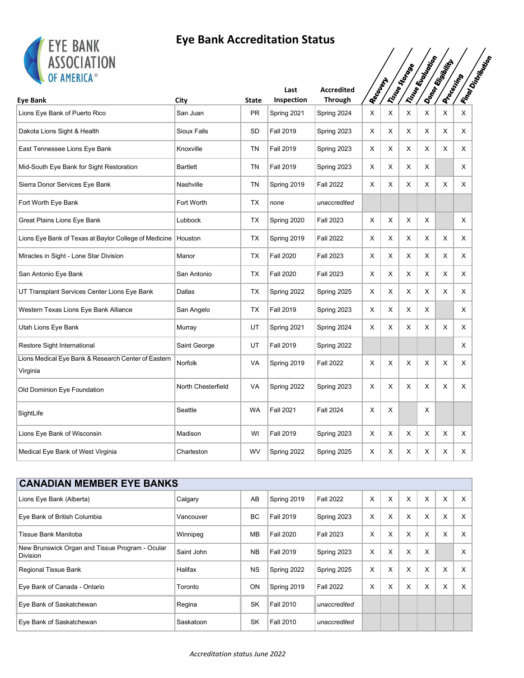

| <b>LIL DANK</b><br><b>ASSOCIATION</b><br>OF AMERICA®            |                    |              |                    |                                     |           |   | Triste Store | Tring England Oriental | Donor Rigord      |   | <b>IFROLD DISTRICTS</b> |
|-----------------------------------------------------------------|--------------------|--------------|--------------------|-------------------------------------|-----------|---|--------------|------------------------|-------------------|---|-------------------------|
| <b>Eye Bank</b>                                                 | City               | <b>State</b> | Last<br>Inspection | <b>Accredited</b><br><b>Through</b> | Recovered |   |              |                        | <b>Processing</b> |   |                         |
| Lions Eye Bank of Puerto Rico                                   | San Juan           | <b>PR</b>    | Spring 2021        | Spring 2024                         | X         | X | X            | X                      | X                 | X |                         |
| Dakota Lions Sight & Health                                     | Sioux Falls        | <b>SD</b>    | <b>Fall 2019</b>   | Spring 2023                         | X         | X | X            | Χ                      | X                 | X |                         |
| East Tennessee Lions Eye Bank                                   | Knoxville          | <b>TN</b>    | <b>Fall 2019</b>   | Spring 2023                         | X         | X | X            | X                      | X                 | X |                         |
| Mid-South Eye Bank for Sight Restoration                        | <b>Bartlett</b>    | <b>TN</b>    | <b>Fall 2019</b>   | Spring 2023                         | X         | X | X            | X                      |                   | X |                         |
| Sierra Donor Services Eye Bank                                  | Nashville          | <b>TN</b>    | Spring 2019        | <b>Fall 2022</b>                    | Х         | X | X            | X                      | X                 | X |                         |
| Fort Worth Eye Bank                                             | Fort Worth         | <b>TX</b>    | none               | unaccredited                        |           |   |              |                        |                   |   |                         |
| Great Plains Lions Eye Bank                                     | Lubbock            | <b>TX</b>    | Spring 2020        | <b>Fall 2023</b>                    | X         | X | X            | X                      |                   | X |                         |
| Lions Eye Bank of Texas at Baylor College of Medicine   Houston |                    | TX           | Spring 2019        | <b>Fall 2022</b>                    | X         | X | X            | X                      | X                 | X |                         |
| Miracles in Sight - Lone Star Division                          | Manor              | <b>TX</b>    | <b>Fall 2020</b>   | <b>Fall 2023</b>                    | X         | X | X            | Χ                      | X                 | X |                         |
| San Antonio Eye Bank                                            | San Antonio        | <b>TX</b>    | <b>Fall 2020</b>   | <b>Fall 2023</b>                    | X         | X | X            | Χ                      | X                 | X |                         |
| UT Transplant Services Center Lions Eye Bank                    | Dallas             | <b>TX</b>    | Spring 2022        | Spring 2025                         | X         | X | X            | X                      | X                 | X |                         |
| Western Texas Lions Eye Bank Alliance                           | San Angelo         | <b>TX</b>    | <b>Fall 2019</b>   | Spring 2023                         | X         | X | X            | X                      |                   | X |                         |
| Utah Lions Eye Bank                                             | Murray             | UT           | Spring 2021        | Spring 2024                         | X         | X | X            | X                      | X                 | X |                         |
| Restore Sight International                                     | Saint George       | UT           | <b>Fall 2019</b>   | Spring 2022                         |           |   |              |                        |                   | X |                         |
| Lions Medical Eye Bank & Research Center of Eastern<br>Virginia | Norfolk            | VA           | Spring 2019        | <b>Fall 2022</b>                    | X         | X | X            | X                      | X                 | X |                         |
| Old Dominion Eye Foundation                                     | North Chesterfield | <b>VA</b>    | Spring 2022        | Spring 2023                         | X         | X | X            | Χ                      | X                 | X |                         |
| SightLife                                                       | Seattle            | <b>WA</b>    | <b>Fall 2021</b>   | <b>Fall 2024</b>                    | X         | X |              | Χ                      |                   |   |                         |
| Lions Eye Bank of Wisconsin                                     | Madison            | WI           | <b>Fall 2019</b>   | Spring 2023                         | X         | X | X            | X                      | X                 | X |                         |
| Medical Eye Bank of West Virginia                               | Charleston         | WV           | Spring 2022        | Spring 2025                         | Х         | X | X            | X                      | X                 | X |                         |

| <b>CANADIAN MEMBER EYE BANKS</b>                                   |            |           |                  |                  |          |   |   |   |          |   |  |
|--------------------------------------------------------------------|------------|-----------|------------------|------------------|----------|---|---|---|----------|---|--|
| Lions Eye Bank (Alberta)                                           | Calgary    | AB        | Spring 2019      | <b>Fall 2022</b> | $\times$ | X | X | X | X        | X |  |
| Eye Bank of British Columbia                                       | Vancouver  | BC        | <b>Fall 2019</b> | Spring 2023      | X        | X | X | X | X        | X |  |
| Tissue Bank Manitoba                                               | Winnipeg   | MB        | <b>Fall 2020</b> | <b>Fall 2023</b> | X        | X | X | X | $\times$ | X |  |
| New Brunswick Organ and Tissue Program - Ocular<br><b>Division</b> | Saint John | <b>NB</b> | <b>Fall 2019</b> | Spring 2023      | X        | X | X | X |          | X |  |
| Regional Tissue Bank                                               | Halifax    | <b>NS</b> | Spring 2022      | Spring 2025      | X        | X | X | X | $\times$ | X |  |
| Eye Bank of Canada - Ontario                                       | Toronto    | ON        | Spring 2019      | <b>Fall 2022</b> | X        | X | X | X | $\times$ | X |  |
| Eye Bank of Saskatchewan                                           | Regina     | SK        | <b>Fall 2010</b> | unaccredited     |          |   |   |   |          |   |  |
| Eye Bank of Saskatchewan                                           | Saskatoon  | <b>SK</b> | <b>Fall 2010</b> | unaccredited     |          |   |   |   |          |   |  |